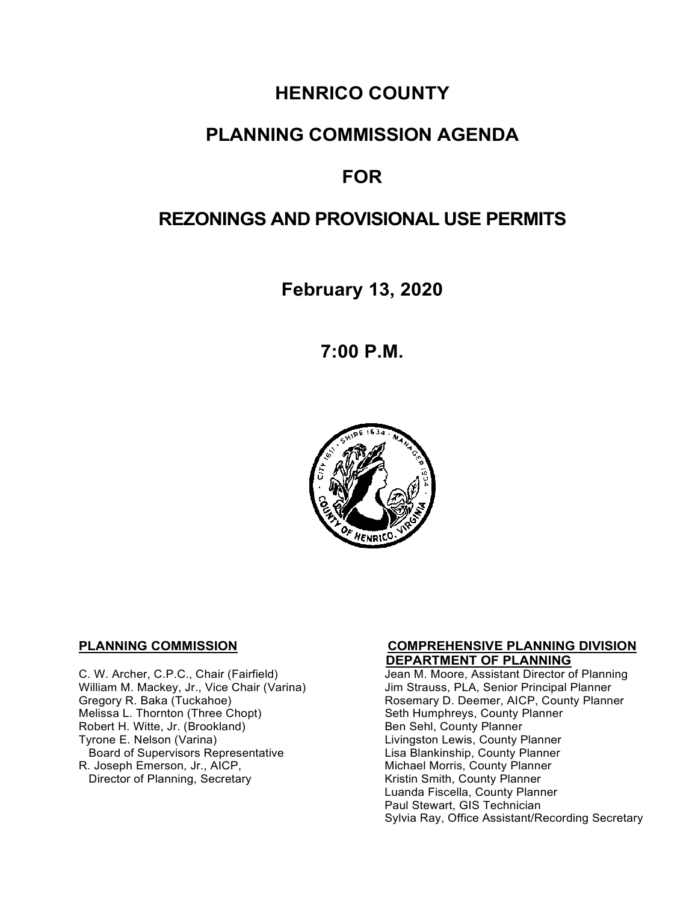# **HENRICO COUNTY**

## **PLANNING COMMISSION AGENDA**

# **FOR**

# **REZONINGS AND PROVISIONAL USE PERMITS**

**February 13, 2020**

**7:00 P.M.**



**C. W. Archer, C.P.C., Chair (Fairfield) C. W. Archer, C.P.C., Chair (Fairfield)** Jean M. Moore, Assistant Director o William M. Mackey, Jr., Vice Chair (Varina)<br>Gregory R. Baka (Tuckahoe) Robert H. Witte, Jr. (Brookland)<br>Tyrone E. Nelson (Varina) Board of Supervisors Representative<br>R. Joseph Emerson, Jr., AICP, Director of Planning, Secretary

# **PLANNING COMMISSION COMPREHENSIVE PLANNING DIVISION**

Jean M. Moore, Assistant Director of Planning<br>Jim Strauss, PLA, Senior Principal Planner Gregory R. Baka (Tuckahoe) **Rosemary D. Deemer, AICP, County Planner**<br>Melissa L. Thornton (Three Chopt) **Rosemary Seth Humphreys, County Planner** Seth Humphreys, County Planner<br>Ben Sehl, County Planner Livingston Lewis, County Planner<br>Lisa Blankinship, County Planner Michael Morris, County Planner<br>Kristin Smith, County Planner Luanda Fiscella, County Planner Paul Stewart, GIS Technician Sylvia Ray, Office Assistant/Recording Secretary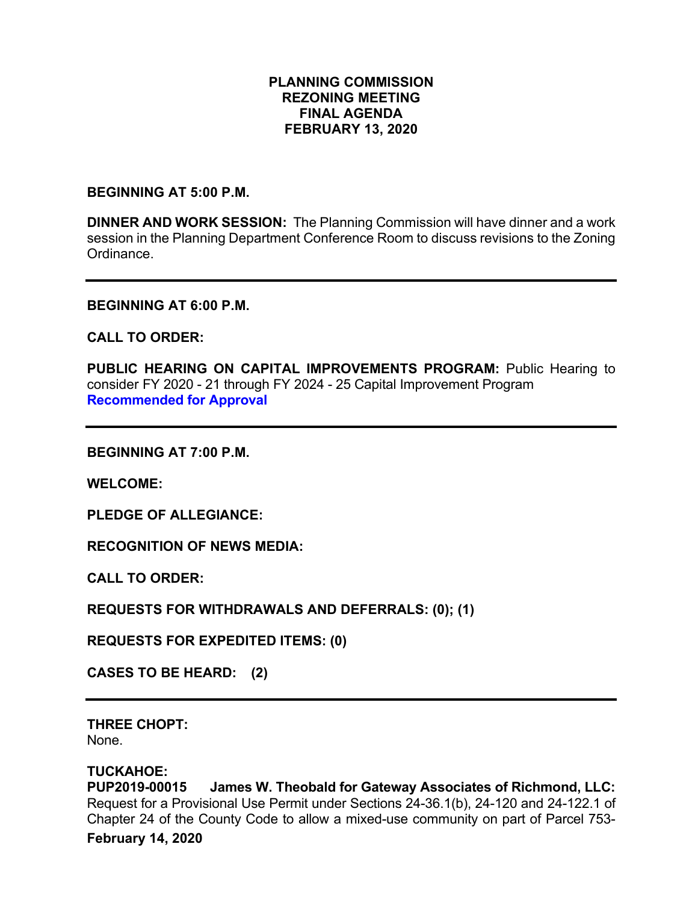### **PLANNING COMMISSION REZONING MEETING FINAL AGENDA FEBRUARY 13, 2020**

**BEGINNING AT 5:00 P.M.**

**DINNER AND WORK SESSION:** The Planning Commission will have dinner and a work session in the Planning Department Conference Room to discuss revisions to the Zoning Ordinance.

**BEGINNING AT 6:00 P.M.**

**CALL TO ORDER:**

PUBLIC HEARING ON CAPITAL IMPROVEMENTS PROGRAM: Public Hearing to consider FY 2020 - 21 through FY 2024 - 25 Capital Improvement Program **Recommended for Approval**

**BEGINNING AT 7:00 P.M.**

**WELCOME:**

**PLEDGE OF ALLEGIANCE:**

**RECOGNITION OF NEWS MEDIA:**

**CALL TO ORDER:**

**REQUESTS FOR WITHDRAWALS AND DEFERRALS: (0); (1)**

**REQUESTS FOR EXPEDITED ITEMS: (0)**

**CASES TO BE HEARD: (2)**

**THREE CHOPT:**  None.

**TUCKAHOE: James W. Theobald for Gateway Associates of Richmond, LLC:** Request for a Provisional Use Permit under Sections 24-36.1(b), 24-120 and 24-122.1 of Chapter 24 of the County Code to allow a mixed-use community on part of Parcel 753-

**February 14, 2020**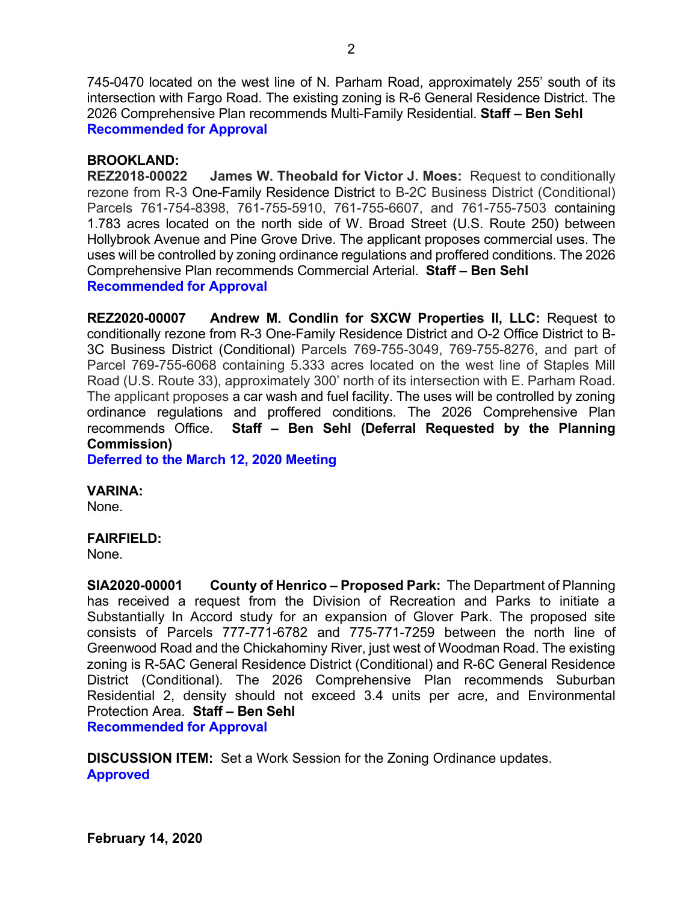745-0470 located on the west line of N. Parham Road, approximately 255' south of its intersection with Fargo Road. The existing zoning is R-6 General Residence District. The 2026 Comprehensive Plan recommends Multi-Family Residential. **Staff – Ben Sehl Recommended for Approval**

### **BROOKLAND:**

**REZ2018-00022 James W. Theobald for Victor J. Moes:** Request to conditionally rezone from R-3 One-Family Residence District to B-2C Business District (Conditional) Parcels 761-754-8398, 761-755-5910, 761-755-6607, and 761-755-7503 containing 1.783 acres located on the north side of W. Broad Street (U.S. Route 250) between Hollybrook Avenue and Pine Grove Drive. The applicant proposes commercial uses. The uses will be controlled by zoning ordinance regulations and proffered conditions. The 2026 Comprehensive Plan recommends Commercial Arterial. **Staff – Ben Sehl Recommended for Approval**

**REZ2020-00007 Andrew M. Condlin for SXCW Properties II, LLC:** Request to conditionally rezone from R-3 One-Family Residence District and O-2 Office District to B-3C Business District (Conditional) Parcels 769-755-3049, 769-755-8276, and part of Parcel 769-755-6068 containing 5.333 acres located on the west line of Staples Mill Road (U.S. Route 33), approximately 300' north of its intersection with E. Parham Road. The applicant proposes a car wash and fuel facility. The uses will be controlled by zoning ordinance regulations and proffered conditions. The 2026 Comprehensive Plan recommends Office. **Staff – Ben Sehl (Deferral Requested by the Planning Commission)**

**Deferred to the March 12, 2020 Meeting**

#### **VARINA:**

None.

#### **FAIRFIELD:**

None.

**SIA2020-00001 County of Henrico – Proposed Park:** The Department of Planning has received a request from the Division of Recreation and Parks to initiate a Substantially In Accord study for an expansion of Glover Park. The proposed site consists of Parcels 777-771-6782 and 775-771-7259 between the north line of Greenwood Road and the Chickahominy River, just west of Woodman Road. The existing zoning is R-5AC General Residence District (Conditional) and R-6C General Residence District (Conditional). The 2026 Comprehensive Plan recommends Suburban Residential 2, density should not exceed 3.4 units per acre, and Environmental Protection Area. **Staff – Ben Sehl Recommended for Approval**

**DISCUSSION ITEM:** Set a Work Session for the Zoning Ordinance updates. **Approved**